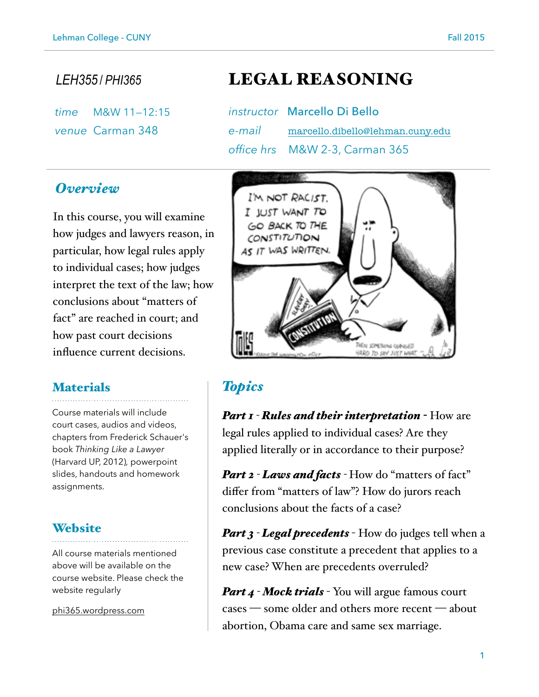*time* M&W 11—12:15  *venue* Carman 348

# *LEH355* / *PHI365* LEGAL REASONING

| instructor Marcello Di Bello            |
|-----------------------------------------|
| e-mail marcello.dibello@lehman.cuny.edu |
| office hrs M&W 2-3, Carman 365          |

# *Overview*

In this course, you will examine how judges and lawyers reason, in particular, how legal rules apply to individual cases; how judges interpret the text of the law; how conclusions about "matters of fact" are reached in court; and how past court decisions influence current decisions.

### **Materials**

Course materials will include court cases, audios and videos, chapters from Frederick Schauer's book *Thinking Like a Lawyer*  (Harvard UP, 2012)*,* powerpoint slides, handouts and homework assignments.

### **Website**

All course materials mentioned above will be available on the course website. Please check the website regularly

[phi365.wordpress.com](http://phi365.wordpress.com)



# *Topics*

*Part 1 - Rules and their interpretation -* How are legal rules applied to individual cases? Are they applied literally or in accordance to their purpose?

*Part 2 - Laws and facts -* How do "matters of fact" differ from "matters of law"? How do jurors reach conclusions about the facts of a case?

*Part 3 - Legal precedents - How do judges tell when a* previous case constitute a precedent that applies to a new case? When are precedents overruled?

*Part 4 - Mock trials* - You will argue famous court cases — some older and others more recent — about abortion, Obama care and same sex marriage.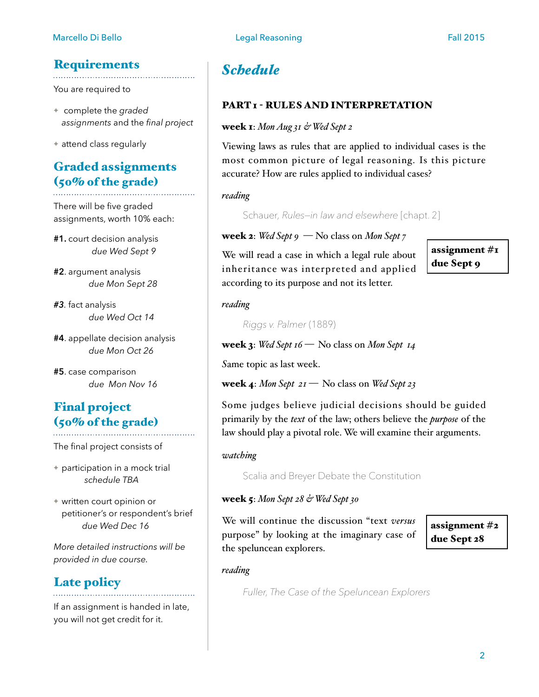# **Requirements**

You are required to

- ✦ complete the *graded assignments* and the *final project*
- ✦ attend class regularly

# Graded assignments (50% of the grade)

There will be five graded assignments, worth 10% each:

**#1.** court decision analysis *due Wed Sept 9* 

**#2**. argument analysis *due Mon Sept 28* 

*#3.* fact analysis *due Wed Oct 14*

**#4**. appellate decision analysis *due Mon Oct 26* 

**#5**. case comparison *due Mon Nov 16* 

# Final project (50% of the grade)

The final project consists of

- ✦ participation in a mock trial *schedule TBA*
- ✦ written court opinion or petitioner's or respondent's brief *due Wed Dec 16*

*More detailed instructions will be provided in due course.* 

# Late policy

If an assignment is handed in late, you will not get credit for it.

# *Schedule*

### PART <sup>1</sup> - RULES AND INTERPRETATION

### week 1: *Mon Aug 31 & Wed Sept 2*

Viewing laws as rules that are applied to individual cases is the most common picture of legal reasoning. Is this picture accurate? How are rules applied to individual cases?

### *reading*

Schauer*, Rules—in law and elsewhere* [chapt. 2]

### week 2: *Wed Sept 9* — No class on *Mon Sept 7*

We will read a case in which a legal rule about inheritance was interpreted and applied according to its purpose and not its letter.

assignment #1 due Sept 9

### *reading*

 *Riggs v. Palmer* (1889)

week 3: *Wed Sept 16 —* No class on *Mon Sept 14*

*S*ame topic as last week.

week 4: *Mon Sept 21 —* No class on *Wed Sept 23*

Some judges believe judicial decisions should be guided primarily by the *text* of the law; others believe the *purpose* of the law should play a pivotal role. We will examine their arguments.

### *watching*

Scalia and Breyer Debate the Constitution

### week 5: *Mon Sept 28 & Wed Sept 30*

We will continue the discussion "text *versus* purpose" by looking at the imaginary case of the speluncean explorers.

assignment #2 due Sept 28

*reading*

*Fuller, The Case of the Speluncean Explorers*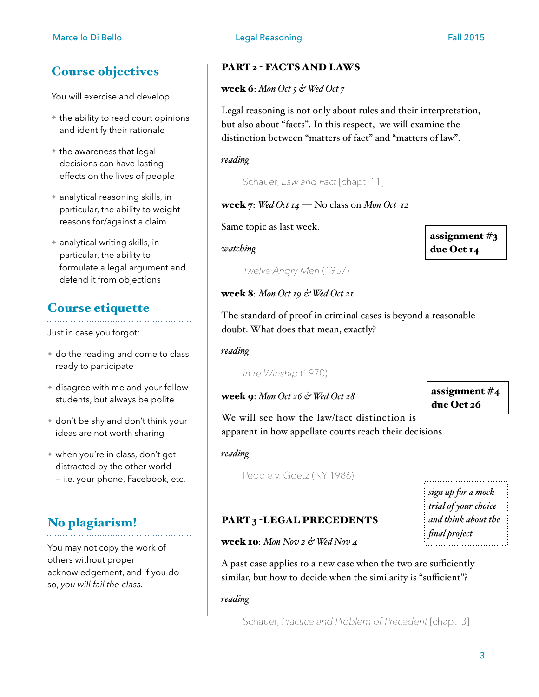# Course objectives

You will exercise and develop:

- $\triangle$  the ability to read court opinions and identify their rationale
- ✦ the awareness that legal decisions can have lasting effects on the lives of people
- ✦ analytical reasoning skills, in particular, the ability to weight reasons for/against a claim
- ✦ analytical writing skills, in particular, the ability to formulate a legal argument and defend it from objections

# Course etiquette

Just in case you forgot:

- ✦ do the reading and come to class ready to participate
- ✦ disagree with me and your fellow students, but always be polite
- ✦ don't be shy and don't think your ideas are not worth sharing
- ✦ when you're in class, don't get distracted by the other world — i.e. your phone, Facebook, etc.

# No plagiarism!

You may not copy the work of others without proper acknowledgement, and if you do so, *you will fail the class.*

### PART 2 - FACTS AND LAWS

### week 6: *Mon Oct 5 & Wed Oct 7*

Legal reasoning is not only about rules and their interpretation, but also about "facts". In this respect, we will examine the distinction between "matters of fact" and "matters of law".

### *reading*

Schauer, *Law and Fact* [chapt. 11]

### week 7: *Wed Oct 14* — No class on *Mon Oct 12*

Same topic as last week.

*watching*

assignment #3 due Oct 14

*Twelve Angry Men* (1957)

### week 8: *Mon Oct 19 & Wed Oct 21*

The standard of proof in criminal cases is beyond a reasonable doubt. What does that mean, exactly?

*reading*

*in re Winship* (1970)

### week 9: *Mon Oct 26 & Wed Oct 28*

assignment #4 due Oct 26

We will see how the law/fact distinction is apparent in how appellate courts reach their decisions.

*reading*

People v. Goetz (NY 1986)

*sign up for a mock trial of your choice and think about the final project*

## PART 3 -LEGAL PRECEDENTS

week 10: *Mon Nov 2 & Wed Nov 4* 

A past case applies to a new case when the two are sufficiently similar, but how to decide when the similarity is "sufficient"?

### *reading*

Schauer, *Practice and Problem of Precedent* [chapt. 3]